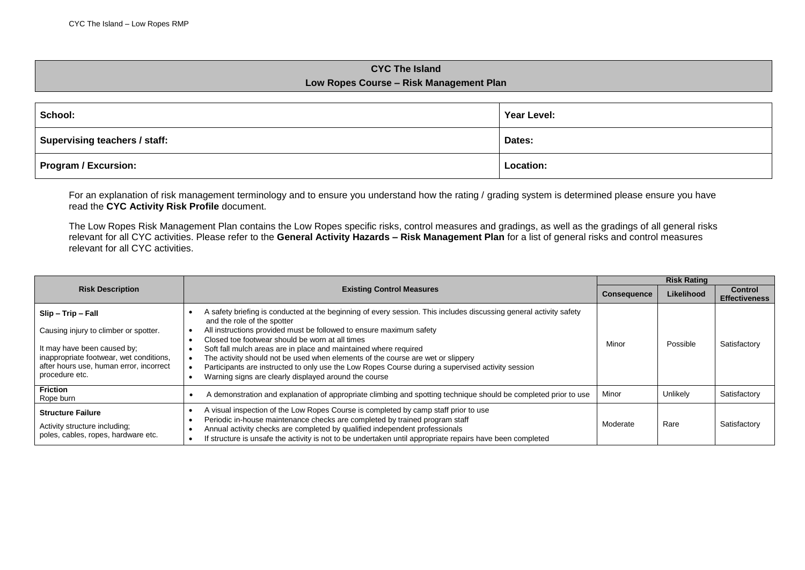## **CYC The Island Low Ropes Course – Risk Management Plan**

| School:                              | Year Level: |  |
|--------------------------------------|-------------|--|
| <b>Supervising teachers / staff:</b> | Dates:      |  |
| <b>Program / Excursion:</b>          | Location:   |  |

For an explanation of risk management terminology and to ensure you understand how the rating / grading system is determined please ensure you have read the **CYC Activity Risk Profile** document.

The Low Ropes Risk Management Plan contains the Low Ropes specific risks, control measures and gradings, as well as the gradings of all general risks relevant for all CYC activities. Please refer to the **General Activity Hazards – Risk Management Plan** for a list of general risks and control measures relevant for all CYC activities.

|                                                                                                                                                                                                    | <b>Existing Control Measures</b>                                                                                                                                                                                                                                                                                                                                                                                                                                                                                                                                                                 |          | <b>Risk Rating</b> |                                        |  |
|----------------------------------------------------------------------------------------------------------------------------------------------------------------------------------------------------|--------------------------------------------------------------------------------------------------------------------------------------------------------------------------------------------------------------------------------------------------------------------------------------------------------------------------------------------------------------------------------------------------------------------------------------------------------------------------------------------------------------------------------------------------------------------------------------------------|----------|--------------------|----------------------------------------|--|
| <b>Risk Description</b>                                                                                                                                                                            |                                                                                                                                                                                                                                                                                                                                                                                                                                                                                                                                                                                                  |          | Likelihood         | <b>Control</b><br><b>Effectiveness</b> |  |
| Slip - Trip - Fall<br>Causing injury to climber or spotter.<br>It may have been caused by:<br>inappropriate footwear, wet conditions,<br>after hours use, human error, incorrect<br>procedure etc. | A safety briefing is conducted at the beginning of every session. This includes discussing general activity safety<br>and the role of the spotter<br>All instructions provided must be followed to ensure maximum safety<br>Closed toe footwear should be worn at all times<br>Soft fall mulch areas are in place and maintained where required<br>The activity should not be used when elements of the course are wet or slippery<br>Participants are instructed to only use the Low Ropes Course during a supervised activity session<br>Warning signs are clearly displayed around the course | Minor    | Possible           | Satisfactory                           |  |
| <b>Friction</b><br>Rope burn                                                                                                                                                                       | A demonstration and explanation of appropriate climbing and spotting technique should be completed prior to use                                                                                                                                                                                                                                                                                                                                                                                                                                                                                  | Minor    | Unlikely           | Satisfactory                           |  |
| <b>Structure Failure</b><br>Activity structure including;<br>poles, cables, ropes, hardware etc.                                                                                                   | A visual inspection of the Low Ropes Course is completed by camp staff prior to use<br>Periodic in-house maintenance checks are completed by trained program staff<br>Annual activity checks are completed by qualified independent professionals<br>If structure is unsafe the activity is not to be undertaken until appropriate repairs have been completed                                                                                                                                                                                                                                   | Moderate | Rare               | Satisfactory                           |  |